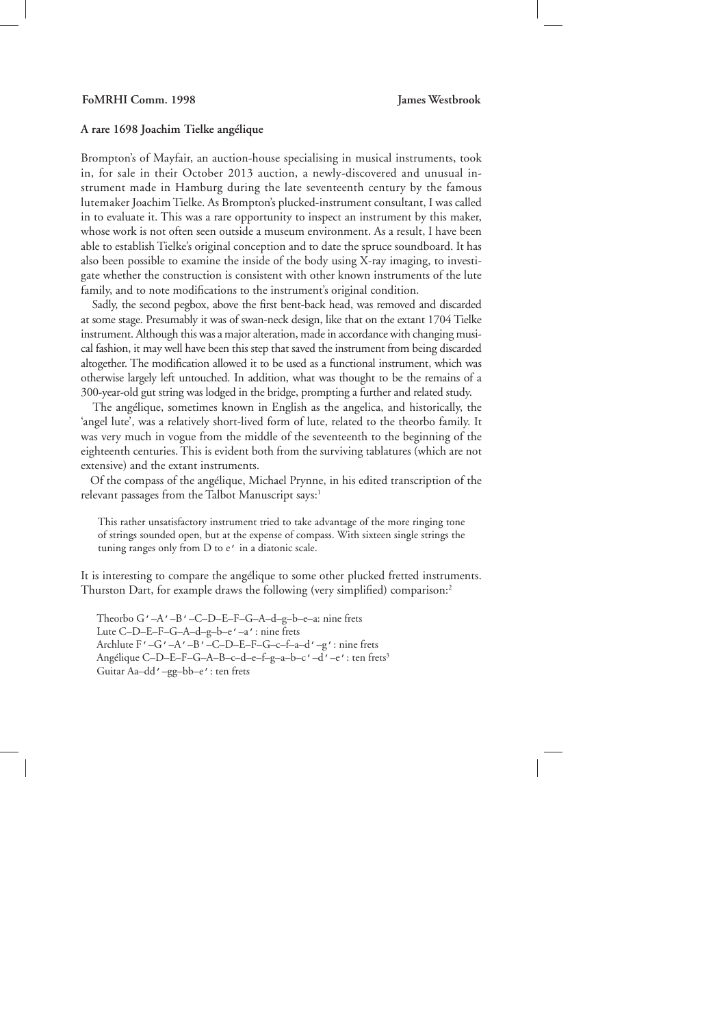## **A rare 1698 Joachim Tielke angélique**

Brompton's of Mayfair, an auction-house specialising in musical instruments, took in, for sale in their October 2013 auction, a newly-discovered and unusual instrument made in Hamburg during the late seventeenth century by the famous lutemaker Joachim Tielke. As Brompton's plucked-instrument consultant, I was called in to evaluate it. This was a rare opportunity to inspect an instrument by this maker, whose work is not often seen outside a museum environment. As a result, I have been able to establish Tielke's original conception and to date the spruce soundboard. It has also been possible to examine the inside of the body using X-ray imaging, to investigate whether the construction is consistent with other known instruments of the lute family, and to note modifications to the instrument's original condition.

Sadly, the second pegbox, above the first bent-back head, was removed and discarded at some stage. Presumably it was of swan-neck design, like that on the extant 1704 Tielke instrument. Although this was a major alteration, made in accordance with changing musical fashion, it may well have been this step that saved the instrument from being discarded altogether. The modification allowed it to be used as a functional instrument, which was otherwise largely left untouched. In addition, what was thought to be the remains of a 300-year-old gut string was lodged in the bridge, prompting a further and related study.

 The angélique, sometimes known in English as the angelica, and historically, the 'angel lute', was a relatively short-lived form of lute, related to the theorbo family. It was very much in vogue from the middle of the seventeenth to the beginning of the eighteenth centuries. This is evident both from the surviving tablatures (which are not extensive) and the extant instruments.

 Of the compass of the angélique, Michael Prynne, in his edited transcription of the relevant passages from the Talbot Manuscript says:<sup>1</sup>

This rather unsatisfactory instrument tried to take advantage of the more ringing tone of strings sounded open, but at the expense of compass. With sixteen single strings the tuning ranges only from D to e' in a diatonic scale.

It is interesting to compare the angélique to some other plucked fretted instruments. Thurston Dart, for example draws the following (very simplified) comparison:<sup>2</sup>

Theorbo G'–A'–B'–C–D–E–F–G–A–d–g–b–e–a: nine frets Lute C–D–E–F–G–A–d–g–b–e'–a': nine frets Archlute F'–G'–A'–B'–C–D–E–F–G–c–f–a–d'–g': nine frets Angélique C–D–E–F–G–A–B–c–d–e–f–g–a–b–c'–d'–e': ten frets3 Guitar Aa–dd'–gg–bb–e': ten frets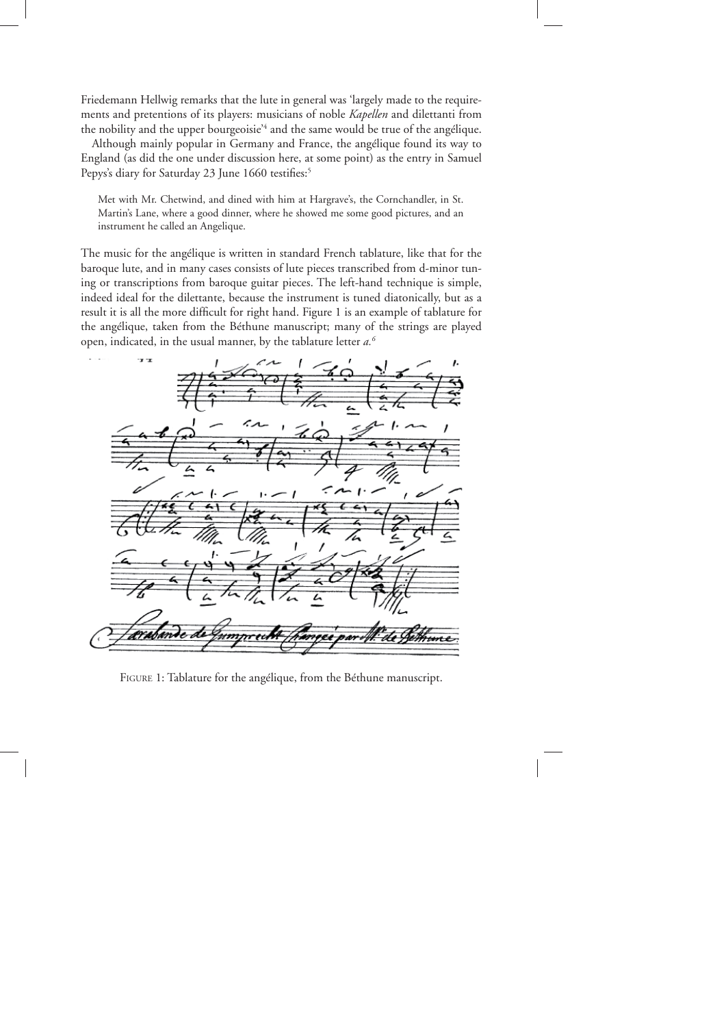Friedemann Hellwig remarks that the lute in general was 'largely made to the requirements and pretentions of its players: musicians of noble *Kapellen* and dilettanti from the nobility and the upper bourgeoisie'<sup>4</sup> and the same would be true of the angélique.

 Although mainly popular in Germany and France, the angélique found its way to England (as did the one under discussion here, at some point) as the entry in Samuel Pepys's diary for Saturday 23 June 1660 testifies:<sup>5</sup>

Met with Mr. Chetwind, and dined with him at Hargrave's, the Cornchandler, in St. Martin's Lane, where a good dinner, where he showed me some good pictures, and an instrument he called an Angelique.

The music for the angélique is written in standard French tablature, like that for the baroque lute, and in many cases consists of lute pieces transcribed from d-minor tuning or transcriptions from baroque guitar pieces. The left-hand technique is simple, indeed ideal for the dilettante, because the instrument is tuned diatonically, but as a result it is all the more difficult for right hand. Figure 1 is an example of tablature for the angélique, taken from the Béthune manuscript; many of the strings are played open, indicated, in the usual manner, by the tablature letter *a.6*



FIGURE 1: Tablature for the angélique, from the Béthune manuscript.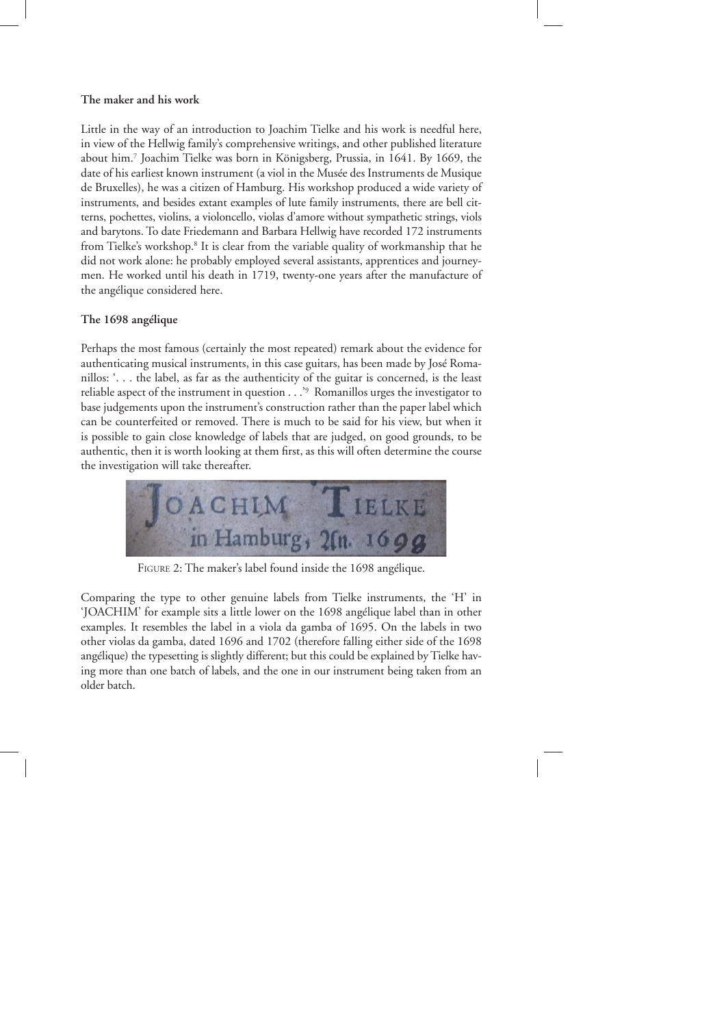## **The maker and his work**

Little in the way of an introduction to Joachim Tielke and his work is needful here, in view of the Hellwig family's comprehensive writings, and other published literature about him.7 Joachim Tielke was born in Königsberg, Prussia, in 1641. By 1669, the date of his earliest known instrument (a viol in the Musée des Instruments de Musique de Bruxelles), he was a citizen of Hamburg. His workshop produced a wide variety of instruments, and besides extant examples of lute family instruments, there are bell citterns, pochettes, violins, a violoncello, violas d'amore without sympathetic strings, viols and barytons. To date Friedemann and Barbara Hellwig have recorded 172 instruments from Tielke's workshop.<sup>8</sup> It is clear from the variable quality of workmanship that he did not work alone: he probably employed several assistants, apprentices and journeymen. He worked until his death in 1719, twenty-one years after the manufacture of the angélique considered here.

## **The 1698 angélique**

Perhaps the most famous (certainly the most repeated) remark about the evidence for authenticating musical instruments, in this case guitars, has been made by José Romanillos: '. . . the label, as far as the authenticity of the guitar is concerned, is the least reliable aspect of the instrument in question . . .'9 Romanillos urges the investigator to base judgements upon the instrument's construction rather than the paper label which can be counterfeited or removed. There is much to be said for his view, but when it is possible to gain close knowledge of labels that are judged, on good grounds, to be authentic, then it is worth looking at them first, as this will often determine the course the investigation will take thereafter.



FIGURE 2: The maker's label found inside the 1698 angélique.

Comparing the type to other genuine labels from Tielke instruments, the 'H' in 'JOACHIM' for example sits a little lower on the 1698 angélique label than in other examples. It resembles the label in a viola da gamba of 1695. On the labels in two other violas da gamba, dated 1696 and 1702 (therefore falling either side of the 1698 angélique) the typesetting is slightly different; but this could be explained by Tielke having more than one batch of labels, and the one in our instrument being taken from an older batch.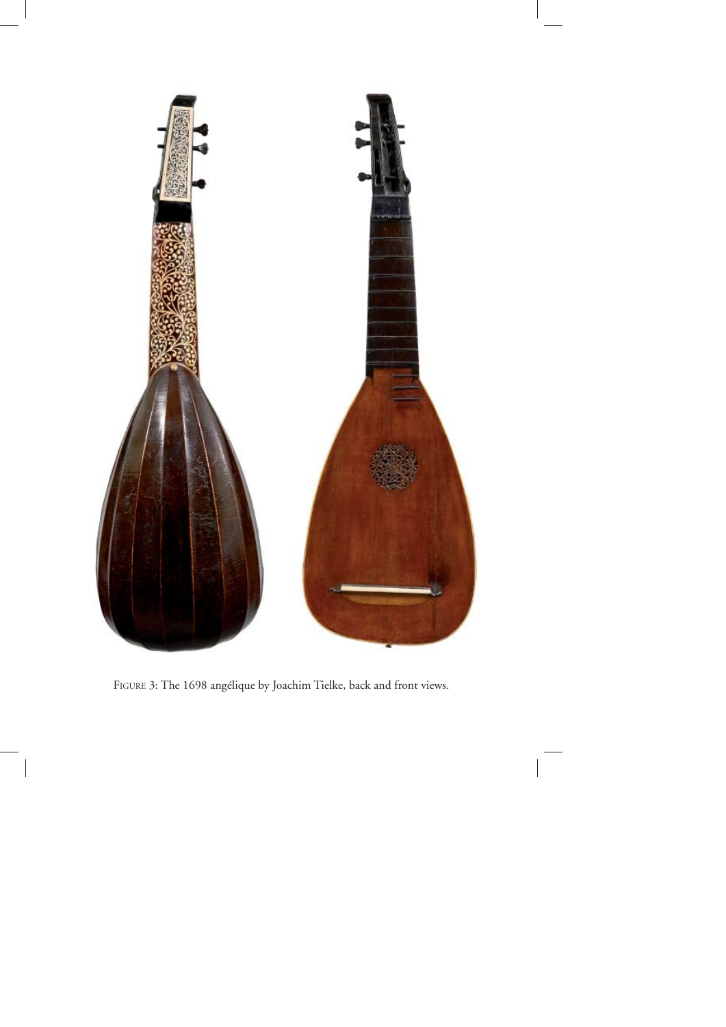

FIGURE 3: The 1698 angélique by Joachim Tielke, back and front views.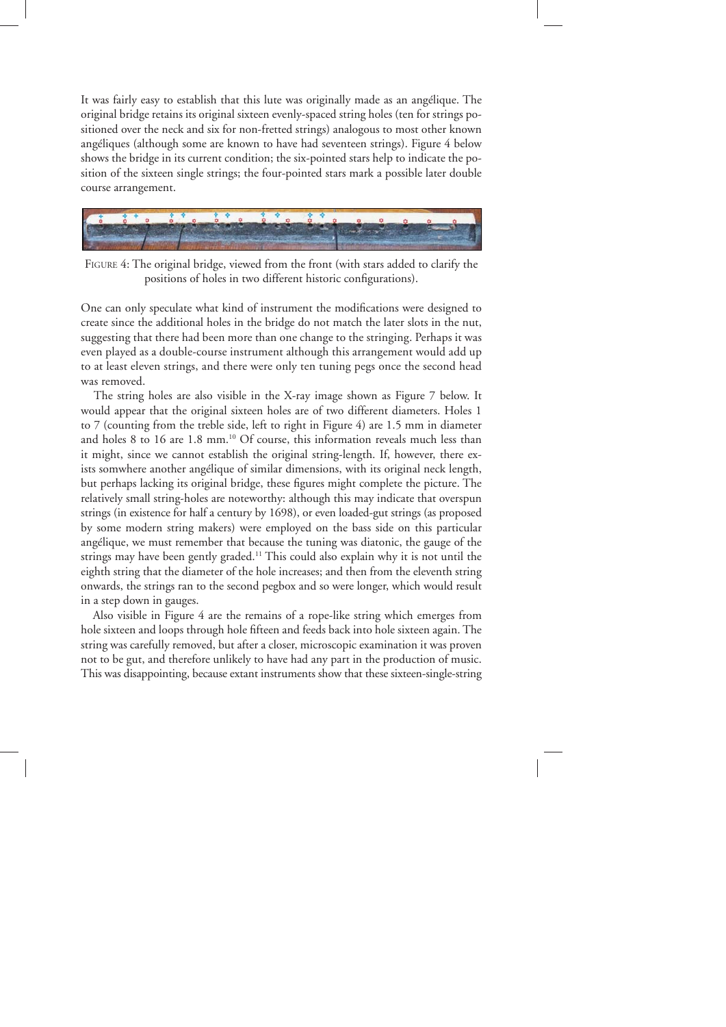It was fairly easy to establish that this lute was originally made as an angélique. The original bridge retains its original sixteen evenly-spaced string holes (ten for strings positioned over the neck and six for non-fretted strings) analogous to most other known angéliques (although some are known to have had seventeen strings). Figure 4 below shows the bridge in its current condition; the six-pointed stars help to indicate the position of the sixteen single strings; the four-pointed stars mark a possible later double course arrangement.



FIGURE 4: The original bridge, viewed from the front (with stars added to clarify the positions of holes in two different historic configurations).

One can only speculate what kind of instrument the modifications were designed to create since the additional holes in the bridge do not match the later slots in the nut, suggesting that there had been more than one change to the stringing. Perhaps it was even played as a double-course instrument although this arrangement would add up to at least eleven strings, and there were only ten tuning pegs once the second head was removed.

 The string holes are also visible in the X-ray image shown as Figure 7 below. It would appear that the original sixteen holes are of two different diameters. Holes 1 to 7 (counting from the treble side, left to right in Figure 4) are 1.5 mm in diameter and holes 8 to 16 are 1.8 mm.<sup>10</sup> Of course, this information reveals much less than it might, since we cannot establish the original string-length. If, however, there exists somwhere another angélique of similar dimensions, with its original neck length, but perhaps lacking its original bridge, these figures might complete the picture. The relatively small string-holes are noteworthy: although this may indicate that overspun strings (in existence for half a century by 1698), or even loaded-gut strings (as proposed by some modern string makers) were employed on the bass side on this particular angélique, we must remember that because the tuning was diatonic, the gauge of the strings may have been gently graded.<sup>11</sup> This could also explain why it is not until the eighth string that the diameter of the hole increases; and then from the eleventh string onwards, the strings ran to the second pegbox and so were longer, which would result in a step down in gauges.

 Also visible in Figure 4 are the remains of a rope-like string which emerges from hole sixteen and loops through hole fifteen and feeds back into hole sixteen again. The string was carefully removed, but after a closer, microscopic examination it was proven not to be gut, and therefore unlikely to have had any part in the production of music. This was disappointing, because extant instruments show that these sixteen-single-string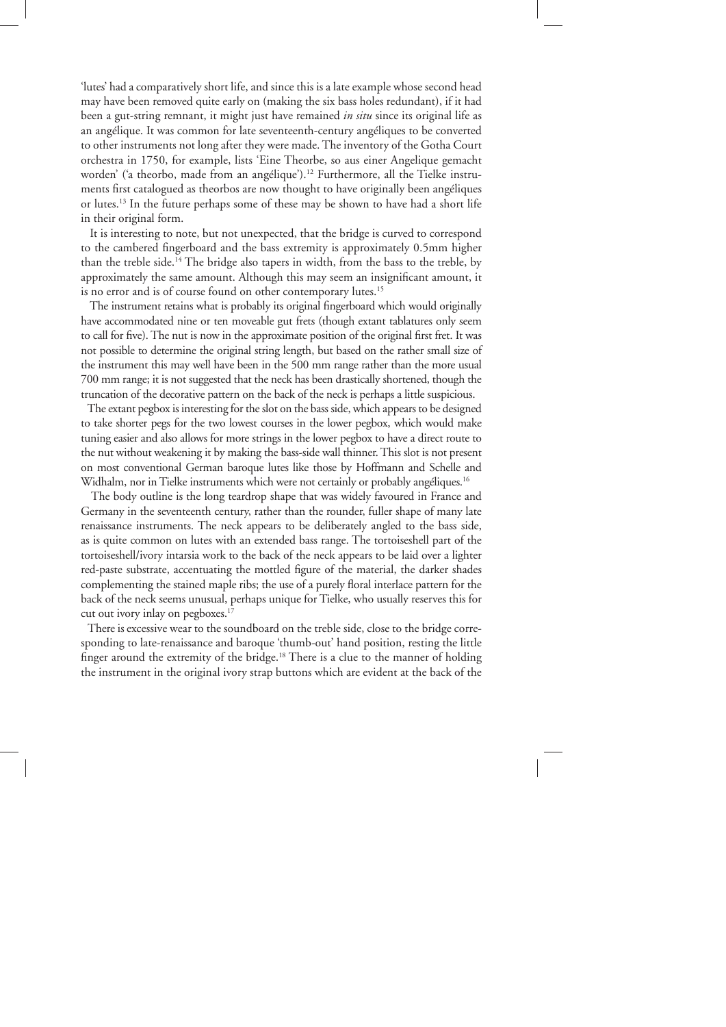'lutes' had a comparatively short life, and since this is a late example whose second head may have been removed quite early on (making the six bass holes redundant), if it had been a gut-string remnant, it might just have remained *in situ* since its original life as an angélique. It was common for late seventeenth-century angéliques to be converted to other instruments not long after they were made. The inventory of the Gotha Court orchestra in 1750, for example, lists 'Eine Theorbe, so aus einer Angelique gemacht worden' ('a theorbo, made from an angélique').<sup>12</sup> Furthermore, all the Tielke instruments first catalogued as theorbos are now thought to have originally been angéliques or lutes.13 In the future perhaps some of these may be shown to have had a short life in their original form.

 It is interesting to note, but not unexpected, that the bridge is curved to correspond to the cambered fingerboard and the bass extremity is approximately 0.5mm higher than the treble side.14 The bridge also tapers in width, from the bass to the treble, by approximately the same amount. Although this may seem an insignificant amount, it is no error and is of course found on other contemporary lutes.<sup>15</sup>

The instrument retains what is probably its original fingerboard which would originally have accommodated nine or ten moveable gut frets (though extant tablatures only seem to call for five). The nut is now in the approximate position of the original first fret. It was not possible to determine the original string length, but based on the rather small size of the instrument this may well have been in the 500 mm range rather than the more usual 700 mm range; it is not suggested that the neck has been drastically shortened, though the truncation of the decorative pattern on the back of the neck is perhaps a little suspicious.

 The extant pegbox is interesting for the slot on the bass side, which appears to be designed to take shorter pegs for the two lowest courses in the lower pegbox, which would make tuning easier and also allows for more strings in the lower pegbox to have a direct route to the nut without weakening it by making the bass-side wall thinner. This slot is not present on most conventional German baroque lutes like those by Hoffmann and Schelle and Widhalm, nor in Tielke instruments which were not certainly or probably angéliques.<sup>16</sup>

 The body outline is the long teardrop shape that was widely favoured in France and Germany in the seventeenth century, rather than the rounder, fuller shape of many late renaissance instruments. The neck appears to be deliberately angled to the bass side, as is quite common on lutes with an extended bass range. The tortoiseshell part of the tortoiseshell/ivory intarsia work to the back of the neck appears to be laid over a lighter red-paste substrate, accentuating the mottled figure of the material, the darker shades complementing the stained maple ribs; the use of a purely floral interlace pattern for the back of the neck seems unusual, perhaps unique for Tielke, who usually reserves this for cut out ivory inlay on pegboxes.<sup>17</sup>

 There is excessive wear to the soundboard on the treble side, close to the bridge corresponding to late-renaissance and baroque 'thumb-out' hand position, resting the little finger around the extremity of the bridge.<sup>18</sup> There is a clue to the manner of holding the instrument in the original ivory strap buttons which are evident at the back of the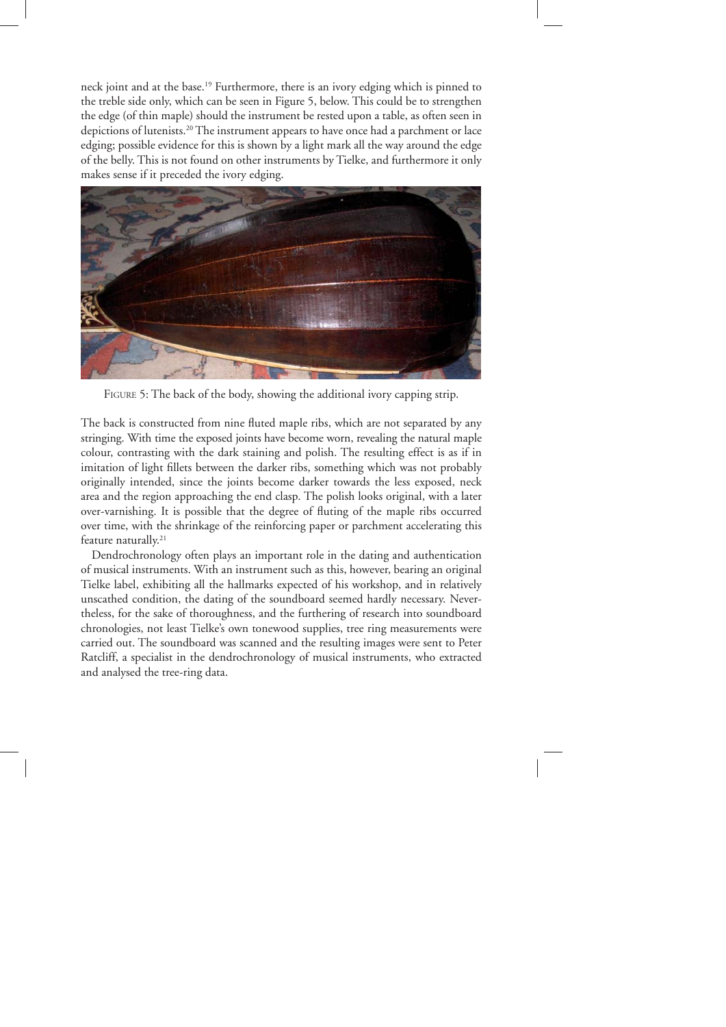neck joint and at the base.19 Furthermore, there is an ivory edging which is pinned to the treble side only, which can be seen in Figure 5, below. This could be to strengthen the edge (of thin maple) should the instrument be rested upon a table, as often seen in depictions of lutenists.20 The instrument appears to have once had a parchment or lace edging; possible evidence for this is shown by a light mark all the way around the edge of the belly. This is not found on other instruments by Tielke, and furthermore it only makes sense if it preceded the ivory edging.



FIGURE 5: The back of the body, showing the additional ivory capping strip.

The back is constructed from nine fluted maple ribs, which are not separated by any stringing. With time the exposed joints have become worn, revealing the natural maple colour, contrasting with the dark staining and polish. The resulting effect is as if in imitation of light fillets between the darker ribs, something which was not probably originally intended, since the joints become darker towards the less exposed, neck area and the region approaching the end clasp. The polish looks original, with a later over-varnishing. It is possible that the degree of fluting of the maple ribs occurred over time, with the shrinkage of the reinforcing paper or parchment accelerating this feature naturally.<sup>21</sup>

 Dendrochronology often plays an important role in the dating and authentication of musical instruments. With an instrument such as this, however, bearing an original Tielke label, exhibiting all the hallmarks expected of his workshop, and in relatively unscathed condition, the dating of the soundboard seemed hardly necessary. Nevertheless, for the sake of thoroughness, and the furthering of research into soundboard chronologies, not least Tielke's own tonewood supplies, tree ring measurements were carried out. The soundboard was scanned and the resulting images were sent to Peter Ratcliff, a specialist in the dendrochronology of musical instruments, who extracted and analysed the tree-ring data.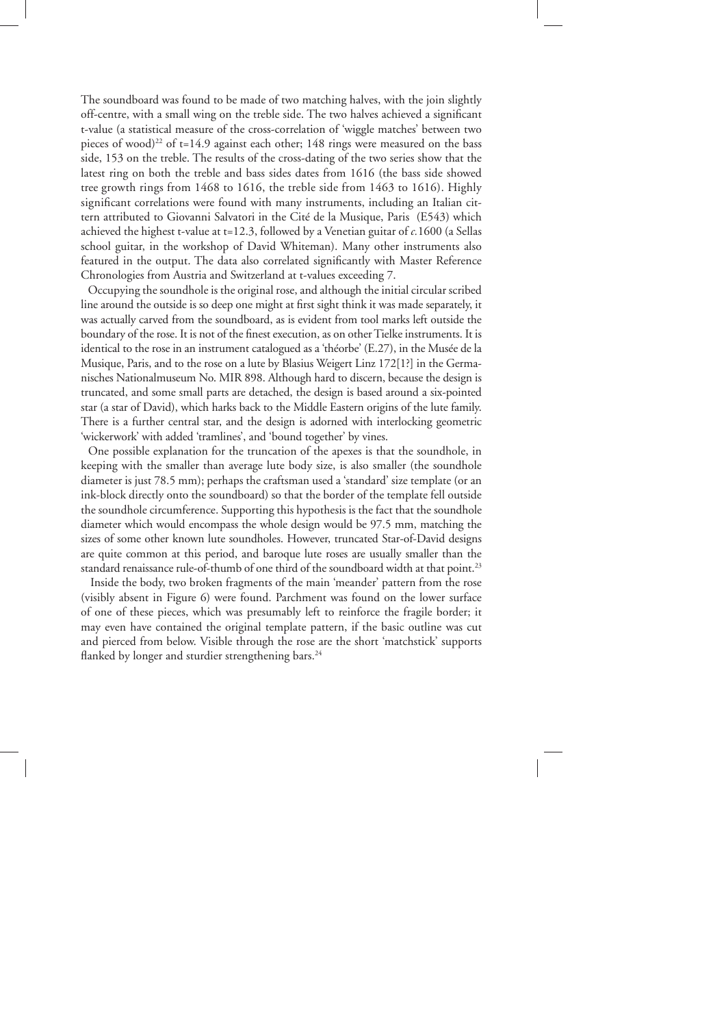The soundboard was found to be made of two matching halves, with the join slightly off-centre, with a small wing on the treble side. The two halves achieved a significant t-value (a statistical measure of the cross-correlation of 'wiggle matches' between two pieces of wood)<sup>22</sup> of  $t=14.9$  against each other; 148 rings were measured on the bass side, 153 on the treble. The results of the cross-dating of the two series show that the latest ring on both the treble and bass sides dates from 1616 (the bass side showed tree growth rings from 1468 to 1616, the treble side from 1463 to 1616). Highly significant correlations were found with many instruments, including an Italian cittern attributed to Giovanni Salvatori in the Cité de la Musique, Paris (E543) which achieved the highest t-value at t=12.3, followed by a Venetian guitar of *c.*1600 (a Sellas school guitar, in the workshop of David Whiteman). Many other instruments also featured in the output. The data also correlated significantly with Master Reference Chronologies from Austria and Switzerland at t-values exceeding 7.

 Occupying the soundhole is the original rose, and although the initial circular scribed line around the outside is so deep one might at first sight think it was made separately, it was actually carved from the soundboard, as is evident from tool marks left outside the boundary of the rose. It is not of the finest execution, as on other Tielke instruments. It is identical to the rose in an instrument catalogued as a 'théorbe' (E.27), in the Musée de la Musique, Paris, and to the rose on a lute by Blasius Weigert Linz 172[1?] in the Germanisches Nationalmuseum No. MIR 898. Although hard to discern, because the design is truncated, and some small parts are detached, the design is based around a six-pointed star (a star of David), which harks back to the Middle Eastern origins of the lute family. There is a further central star, and the design is adorned with interlocking geometric 'wickerwork' with added 'tramlines', and 'bound together' by vines.

 One possible explanation for the truncation of the apexes is that the soundhole, in keeping with the smaller than average lute body size, is also smaller (the soundhole diameter is just 78.5 mm); perhaps the craftsman used a 'standard' size template (or an ink-block directly onto the soundboard) so that the border of the template fell outside the soundhole circumference. Supporting this hypothesis is the fact that the soundhole diameter which would encompass the whole design would be 97.5 mm, matching the sizes of some other known lute soundholes. However, truncated Star-of-David designs are quite common at this period, and baroque lute roses are usually smaller than the standard renaissance rule-of-thumb of one third of the soundboard width at that point.<sup>23</sup>

 Inside the body, two broken fragments of the main 'meander' pattern from the rose (visibly absent in Figure 6) were found. Parchment was found on the lower surface of one of these pieces, which was presumably left to reinforce the fragile border; it may even have contained the original template pattern, if the basic outline was cut and pierced from below. Visible through the rose are the short 'matchstick' supports flanked by longer and sturdier strengthening bars.<sup>24</sup>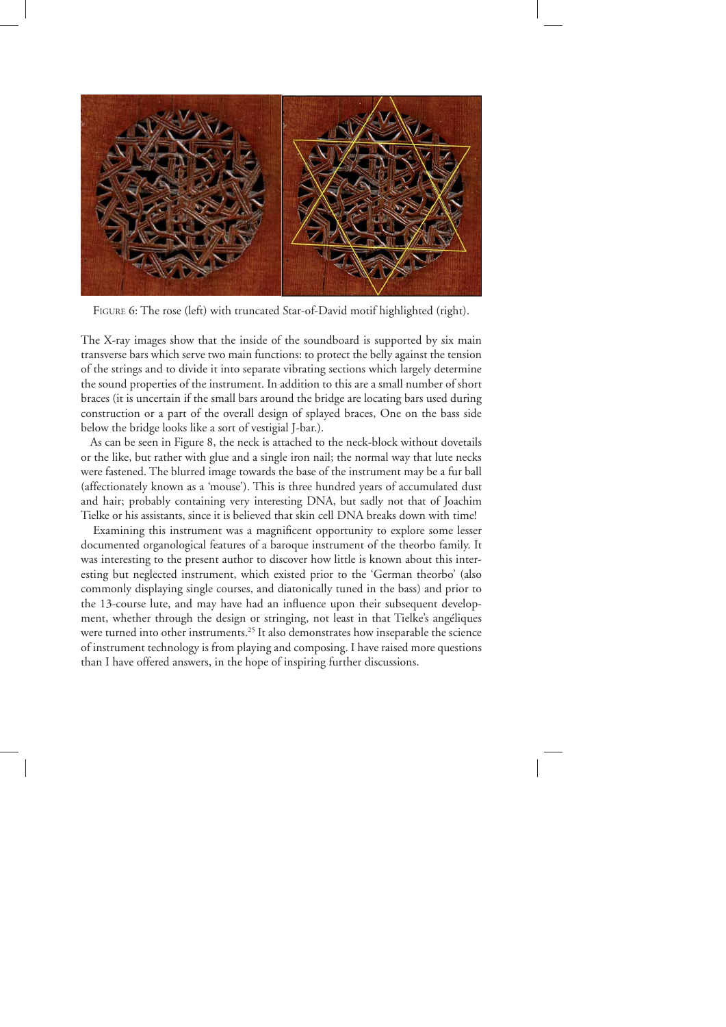

FIGURE 6: The rose (left) with truncated Star-of-David motif highlighted (right).

The X-ray images show that the inside of the soundboard is supported by six main transverse bars which serve two main functions: to protect the belly against the tension of the strings and to divide it into separate vibrating sections which largely determine the sound properties of the instrument. In addition to this are a small number of short braces (it is uncertain if the small bars around the bridge are locating bars used during construction or a part of the overall design of splayed braces, One on the bass side below the bridge looks like a sort of vestigial J-bar.).

 As can be seen in Figure 8, the neck is attached to the neck-block without dovetails or the like, but rather with glue and a single iron nail; the normal way that lute necks were fastened. The blurred image towards the base of the instrument may be a fur ball (affectionately known as a 'mouse'). This is three hundred years of accumulated dust and hair; probably containing very interesting DNA, but sadly not that of Joachim Tielke or his assistants, since it is believed that skin cell DNA breaks down with time!

Examining this instrument was a magnificent opportunity to explore some lesser documented organological features of a baroque instrument of the theorbo family. It was interesting to the present author to discover how little is known about this interesting but neglected instrument, which existed prior to the 'German theorbo' (also commonly displaying single courses, and diatonically tuned in the bass) and prior to the 13-course lute, and may have had an influence upon their subsequent development, whether through the design or stringing, not least in that Tielke's angéliques were turned into other instruments.<sup>25</sup> It also demonstrates how inseparable the science of instrument technology is from playing and composing. I have raised more questions than I have offered answers, in the hope of inspiring further discussions.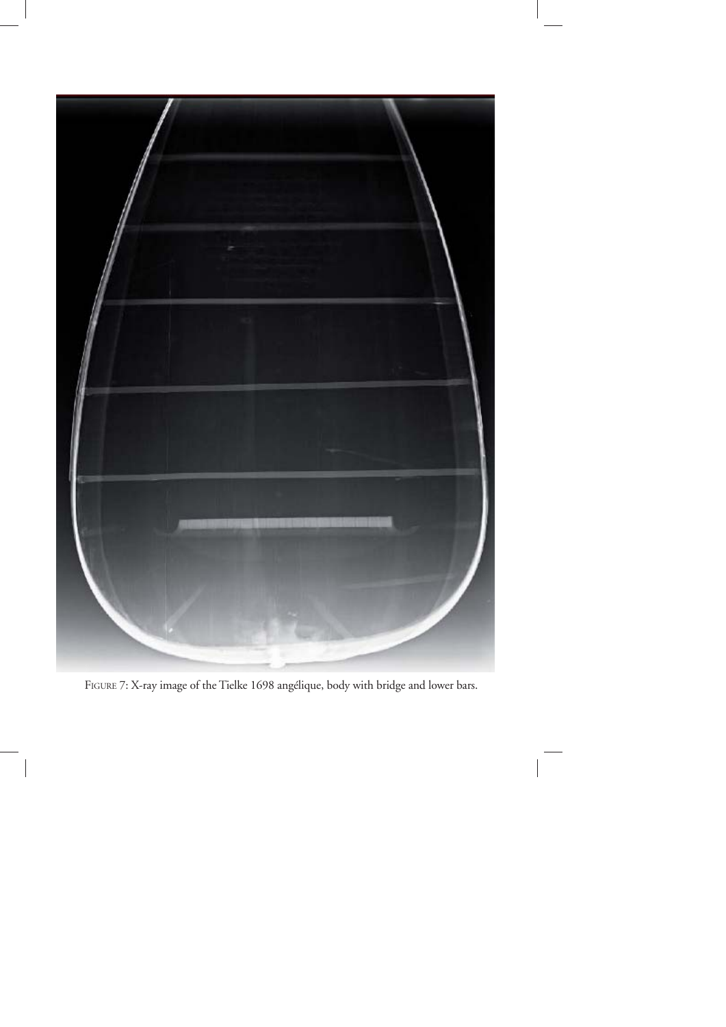

FIGURE 7: X-ray image of the Tielke 1698 angélique, body with bridge and lower bars.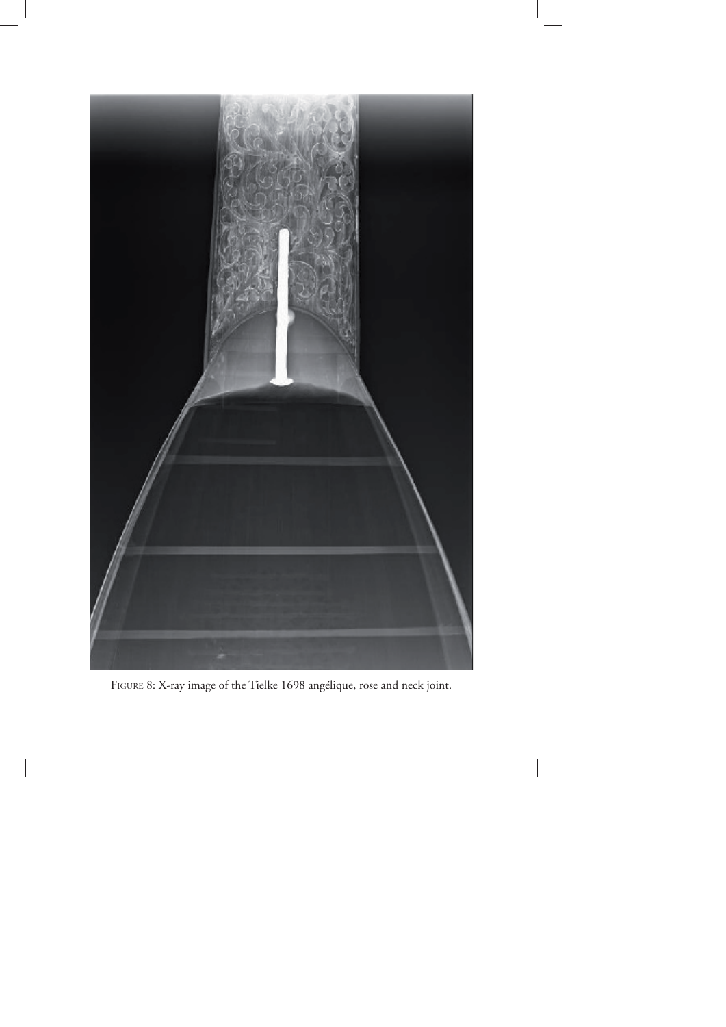

FIGURE 8: X-ray image of the Tielke 1698 angélique, rose and neck joint.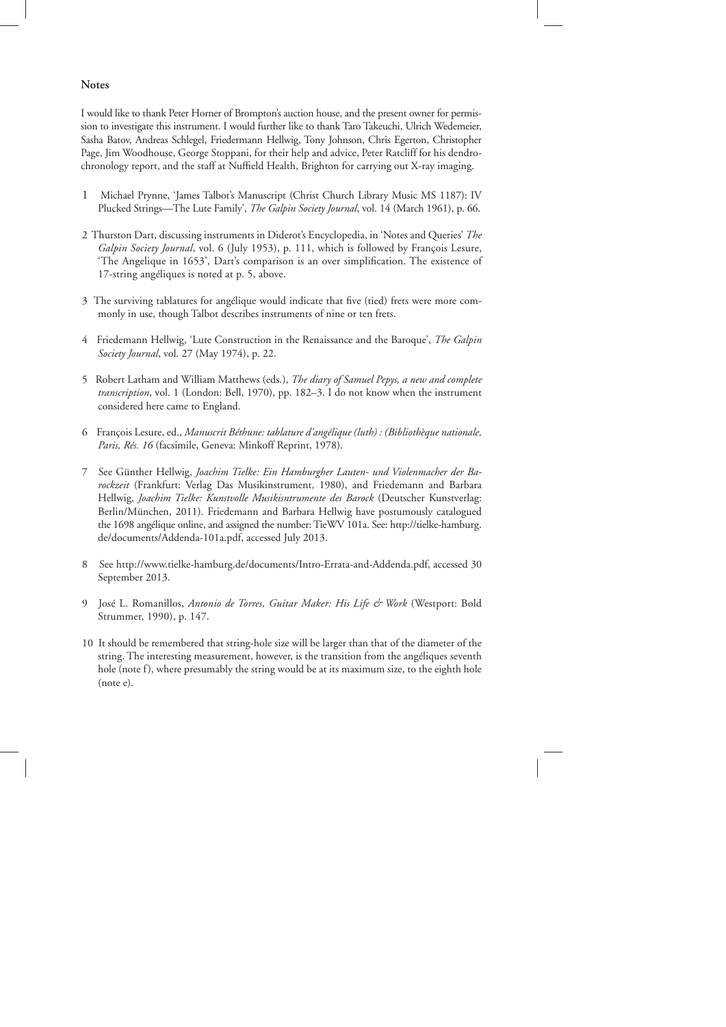## **Notes**

I would like to thank Peter Horner of Brompton's auction house, and the present owner for permission to investigate this instrument. I would further like to thank Taro Takeuchi, Ulrich Wedemeier, Sasha Batov, Andreas Schlegel, Friedermann Hellwig, Tony Johnson, Chris Egerton, Christopher Page, Jim Woodhouse, George Stoppani, for their help and advice, Peter Ratcliff for his dendrochronology report, and the staff at Nuffield Health, Brighton for carrying out X-ray imaging.

- 1 Michael Prynne, 'James Talbot's Manuscript (Christ Church Library Music MS 1187): IV Plucked Strings—The Lute Family', *The Galpin Society Journal*, vol. 14 (March 1961), p. 66.
- 2 Thurston Dart, discussing instruments in Diderot's Encyclopedia, in 'Notes and Queries' *The Galpin Society Journal*, vol. 6 (July 1953), p. 111, which is followed by François Lesure, 'The Angelique in 1653', Dart's comparison is an over simplification. The existence of 17-string angéliques is noted at p. 5, above.
- 3 The surviving tablatures for angélique would indicate that five (tied) frets were more commonly in use, though Talbot describes instruments of nine or ten frets.
- 4 Friedemann Hellwig, 'Lute Construction in the Renaissance and the Baroque', *The Galpin Society Journal*, vol. 27 (May 1974), p. 22.
- 5 Robert Latham and William Matthews (eds.), *The diary of Samuel Pepys, a new and complete transcription*, vol. 1 (London: Bell, 1970), pp. 182–3. I do not know when the instrument considered here came to England.
- 6 François Lesure, ed., *Manuscrit Béthune: tablature d'angélique (luth) : (Bibliothèque nationale, Paris, Rés. 16* (facsimile, Geneva: Minkoff Reprint, 1978).
- 7 See Günther Hellwig, *Joachim Tielke: Ein Hamburgher Lauten- und Violenmacher der Barockzeit* (Frankfurt: Verlag Das Musikinstrument, 1980), and Friedemann and Barbara Hellwig, *Joachim Tielke: Kunstvolle Musikisntrumente des Barock* (Deutscher Kunstverlag: Berlin/München, 2011). Friedemann and Barbara Hellwig have postumously catalogued the 1698 angélique online, and assigned the number: TieWV 101a. See: http://tielke-hamburg. de/documents/Addenda-101a.pdf, accessed July 2013.
- 8 See http://www.tielke-hamburg.de/documents/Intro-Errata-and-Addenda.pdf, accessed 30 September 2013.
- 9 José L. Romanillos, *Antonio de Torres, Guitar Maker: His Life & Work* (Westport: Bold Strummer, 1990), p. 147.
- 10 It should be remembered that string-hole size will be larger than that of the diameter of the string. The interesting measurement, however, is the transition from the angéliques seventh hole (note f), where presumably the string would be at its maximum size, to the eighth hole (note e).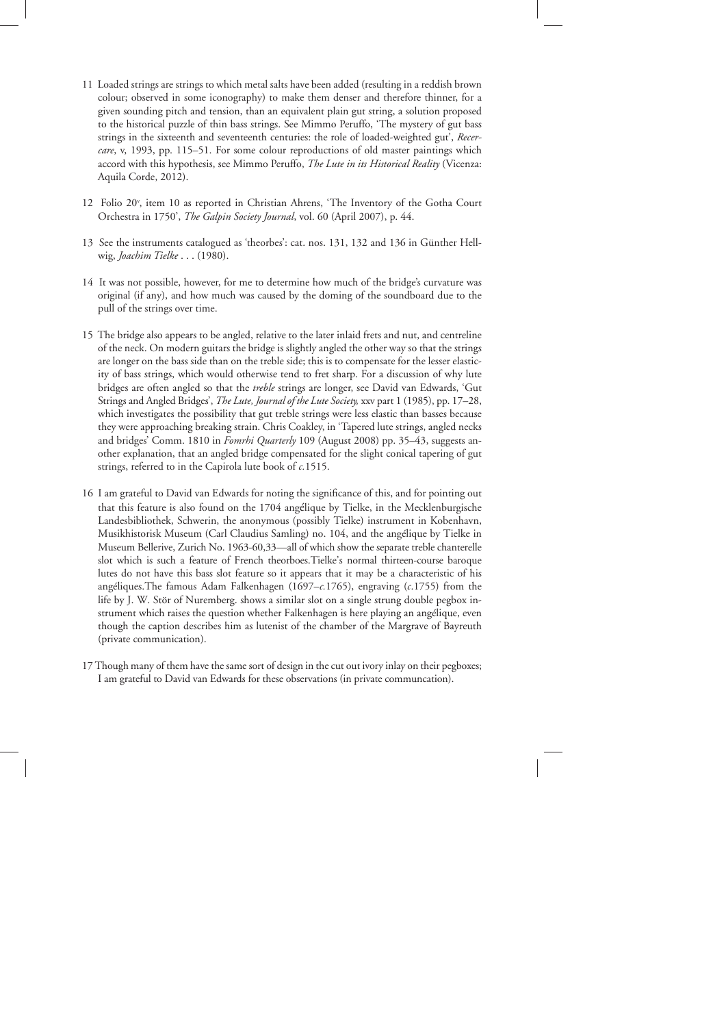- 11 Loaded strings are strings to which metal salts have been added (resulting in a reddish brown colour; observed in some iconography) to make them denser and therefore thinner, for a given sounding pitch and tension, than an equivalent plain gut string, a solution proposed to the historical puzzle of thin bass strings. See Mimmo Peruffo, 'The mystery of gut bass strings in the sixteenth and seventeenth centuries: the role of loaded-weighted gut', *Recercare*, v, 1993, pp. 115–51. For some colour reproductions of old master paintings which accord with this hypothesis, see Mimmo Peruffo, *The Lute in its Historical Reality* (Vicenza: Aquila Corde, 2012).
- 12 Folio 20v , item 10 as reported in Christian Ahrens, 'The Inventory of the Gotha Court Orchestra in 1750', *The Galpin Society Journal*, vol. 60 (April 2007), p. 44.
- 13 See the instruments catalogued as 'theorbes': cat. nos. 131, 132 and 136 in Günther Hellwig, *Joachim Tielke* . . . (1980).
- 14 It was not possible, however, for me to determine how much of the bridge's curvature was original (if any), and how much was caused by the doming of the soundboard due to the pull of the strings over time.
- 15 The bridge also appears to be angled, relative to the later inlaid frets and nut, and centreline of the neck. On modern guitars the bridge is slightly angled the other way so that the strings are longer on the bass side than on the treble side; this is to compensate for the lesser elasticity of bass strings, which would otherwise tend to fret sharp. For a discussion of why lute bridges are often angled so that the *treble* strings are longer, see David van Edwards, 'Gut Strings and Angled Bridges', *The Lute, Journal of the Lute Society,* xxv part 1 (1985), pp. 17–28, which investigates the possibility that gut treble strings were less elastic than basses because they were approaching breaking strain. Chris Coakley, in 'Tapered lute strings, angled necks and bridges' Comm. 1810 in *Fomrhi Quarterly* 109 (August 2008) pp. 35–43, suggests another explanation, that an angled bridge compensated for the slight conical tapering of gut strings, referred to in the Capirola lute book of *c.*1515.
- 16 I am grateful to David van Edwards for noting the significance of this, and for pointing out that this feature is also found on the 1704 angélique by Tielke, in the Mecklenburgische Landesbibliothek, Schwerin, the anonymous (possibly Tielke) instrument in Kobenhavn, Musikhistorisk Museum (Carl Claudius Samling) no. 104, and the angélique by Tielke in Museum Bellerive, Zurich No. 1963-60,33—all of which show the separate treble chanterelle slot which is such a feature of French theorboes.Tielke's normal thirteen-course baroque lutes do not have this bass slot feature so it appears that it may be a characteristic of his angéliques.The famous Adam Falkenhagen (1697–*c.*1765), engraving (*c*.1755) from the life by J. W. Stör of Nuremberg. shows a similar slot on a single strung double pegbox instrument which raises the question whether Falkenhagen is here playing an angélique, even though the caption describes him as lutenist of the chamber of the Margrave of Bayreuth (private communication).
- 17 Though many of them have the same sort of design in the cut out ivory inlay on their pegboxes; I am grateful to David van Edwards for these observations (in private communcation).